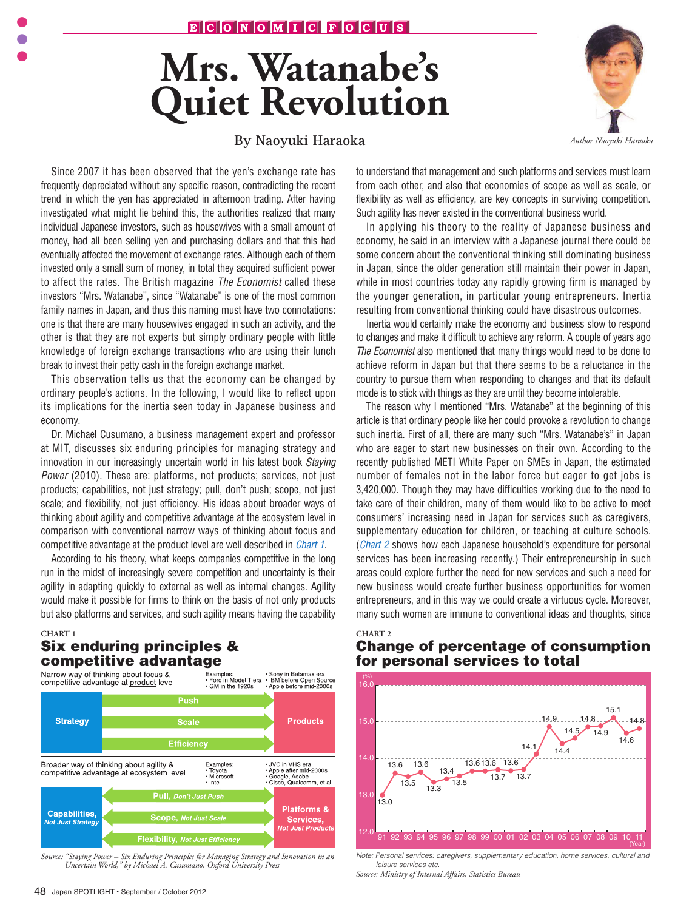### ECONOMIC FOCUS

# **Mrs. Watanabe's Quiet Revolution**

### **By Naoyuki Haraoka**



Since 2007 it has been observed that the yen's exchange rate has frequently depreciated without any specific reason, contradicting the recent trend in which the yen has appreciated in afternoon trading. After having investigated what might lie behind this, the authorities realized that many individual Japanese investors, such as housewives with a small amount of money, had all been selling yen and purchasing dollars and that this had economy, eventually affected the movement of exchange rates. Although each of them invested only a small sum of money, in total they acquired sufficient power to affect the rates. The British magazine *The Economist* called these investors "Mrs. Watanabe", since "Watanabe" is one of the most common family names in Japan, and thus this naming must have two connotations: one is that there are many housewives engaged in such an activity, and the **E C O N O M I C F O C U S** other is that they are not experts but simply ordinary people with little knowledge of foreign exchange transactions who are using their lunch break to invest their petty cash in the foreign exchange market.

This observation tells us that the economy can be changed by ordinary people's actions. In the following, I would like to reflect upon its implications for the inertia seen today in Japanese business and economy.

Dr. Michael Cusumano, a business management expert and professor at MIT, discusses six enduring principles for managing strategy and innovation in our increasingly uncertain world in his latest book *Staying Power* (2010). These are: platforms, not products; services, not just products; capabilities, not just strategy; pull, don't push; scope, not just scale; and flexibility, not just efficiency. His ideas about broader ways of thinking about agility and competitive advantage at the ecosystem level in comparison with conventional narrow ways of thinking about focus and competitive advantage at the product level are well described in *Chart 1*.

According to his theory, what keeps companies competitive in the long run in the midst of increasingly severe competition and uncertainty is their agility in adapting quickly to external as well as internal changes. Agility would make it possible for firms to think on the basis of not only products but also platforms and services, and such agility means having the capability

### **CHART 1**

## Six enduring principles &



*Source: "Staying Power – Six Enduring Principles for Managing Strategy and Innovation in an Uncertain World," by Michael A. Cusumano, Oxford University Press*

to understand that management and such platforms and services must learn from each other, and also that economies of scope as well as scale, or flexibility as well as efficiency, are key concepts in surviving competition. Such agility has never existed in the conventional business world.

In applying his theory to the reality of Japanese business and economy, he said in an interview with a Japanese journal there could be some concern about the conventional thinking still dominating business in Japan, since the older generation still maintain their power in Japan, while in most countries today any rapidly growing firm is managed by the younger generation, in particular young entrepreneurs. Inertia resulting from conventional thinking could have disastrous outcomes.

Inertia would certainly make the economy and business slow to respond to changes and make it difficult to achieve any reform. A couple of years ago *The Economist* also mentioned that many things would need to be done to achieve reform in Japan but that there seems to be a reluctance in the country to pursue them when responding to changes and that its default mode is to stick with things as they are until they become intolerable.

The reason why I mentioned "Mrs. Watanabe" at the beginning of this article is that ordinary people like her could provoke a revolution to change such inertia. First of all, there are many such "Mrs. Watanabe's" in Japan who are eager to start new businesses on their own. According to the recently published METI White Paper on SMEs in Japan, the estimated number of females not in the labor force but eager to get jobs is 3,420,000. Though they may have difficulties working due to the need to take care of their children, many of them would like to be active to meet consumers' increasing need in Japan for services such as caregivers, supplementary education for children, or teaching at culture schools. (*Chart 2* shows how each Japanese household's expenditure for personal services has been increasing recently.) Their entrepreneurship in such areas could explore further the need for new services and such a need for new business would create further business opportunities for women entrepreneurs, and in this way we could create a virtuous cycle. Moreover, many such women are immune to conventional ideas and thoughts, since



*Note: Personal services: caregivers, supplementary education, home services, cultural and leisure services etc.*

**(Deficit)** *Source: Ministry of Internal Affairs, Statistics Bureau*

**CHART 2**